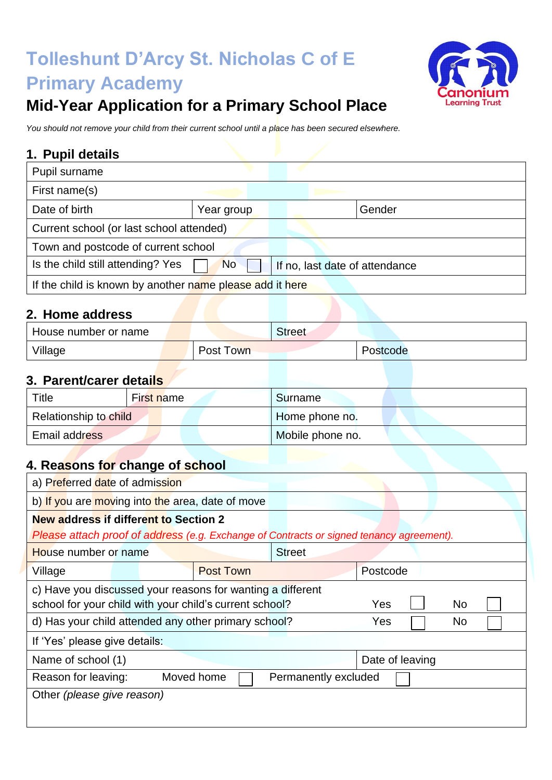# **Tolleshunt D'Arcy St. Nicholas C of E Primary Academy**



## **Mid-Year Application for a Primary School Place**

*You should not remove your child from their current school until a place has been secured elsewhere.*

### **1. Pupil details**

| Pupil surname                                            |            |                                |        |  |  |  |  |
|----------------------------------------------------------|------------|--------------------------------|--------|--|--|--|--|
| First name(s)                                            |            |                                |        |  |  |  |  |
| Date of birth                                            | Year group |                                | Gender |  |  |  |  |
| Current school (or last school attended)                 |            |                                |        |  |  |  |  |
| Town and postcode of current school                      |            |                                |        |  |  |  |  |
| Is the child still attending? Yes                        | <b>No</b>  | If no, last date of attendance |        |  |  |  |  |
| If the child is known by another name please add it here |            |                                |        |  |  |  |  |

#### **2. Home address**

| House number or name | Street    |          |  |
|----------------------|-----------|----------|--|
| Village              | Post Town | Postcode |  |

### **3. Parent/carer details**

| Title                 | First name | Surname          |
|-----------------------|------------|------------------|
| Relationship to child |            | Home phone no.   |
| Email address         |            | Mobile phone no. |

## **4. Reasons for change of school**

| a) Preferred date of admission                                                           |  |            |                  |               |                      |                 |  |           |  |  |  |
|------------------------------------------------------------------------------------------|--|------------|------------------|---------------|----------------------|-----------------|--|-----------|--|--|--|
| b) If you are moving into the area, date of move                                         |  |            |                  |               |                      |                 |  |           |  |  |  |
| <b>New address if different to Section 2</b>                                             |  |            |                  |               |                      |                 |  |           |  |  |  |
| Please attach proof of address (e.g. Exchange of Contracts or signed tenancy agreement). |  |            |                  |               |                      |                 |  |           |  |  |  |
| House number or name                                                                     |  |            |                  | <b>Street</b> |                      |                 |  |           |  |  |  |
| Village                                                                                  |  |            | <b>Post Town</b> |               |                      | Postcode        |  |           |  |  |  |
| c) Have you discussed your reasons for wanting a different                               |  |            |                  |               |                      |                 |  |           |  |  |  |
| school for your child with your child's current school?                                  |  |            |                  |               |                      | Yes             |  | <b>No</b> |  |  |  |
| d) Has your child attended any other primary school?                                     |  |            |                  |               |                      | Yes             |  | No.       |  |  |  |
| If 'Yes' please give details:                                                            |  |            |                  |               |                      |                 |  |           |  |  |  |
| Name of school (1)                                                                       |  |            |                  |               |                      | Date of leaving |  |           |  |  |  |
| Reason for leaving:                                                                      |  | Moved home |                  |               | Permanently excluded |                 |  |           |  |  |  |
| Other (please give reason)                                                               |  |            |                  |               |                      |                 |  |           |  |  |  |
|                                                                                          |  |            |                  |               |                      |                 |  |           |  |  |  |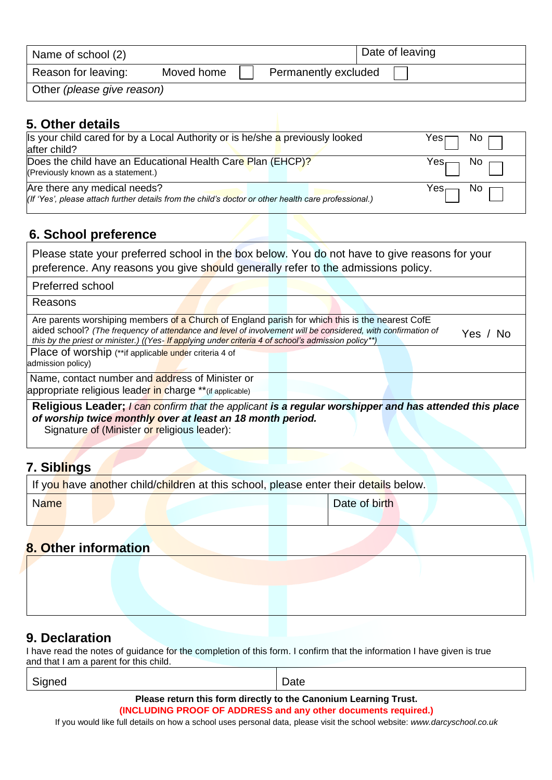| Name of school (2)         |            |                      | Date of leaving |  |  |
|----------------------------|------------|----------------------|-----------------|--|--|
| Reason for leaving:        | Moved home | Permanently excluded |                 |  |  |
| Other (please give reason) |            |                      |                 |  |  |

#### **5. Other details**

| Is your child cared for by a Local Authority or is he/she a previously looked<br>after child?                                        | Yes $\square$ No $\square$ |
|--------------------------------------------------------------------------------------------------------------------------------------|----------------------------|
| Does the child have an Educational Health Care Plan (EHCP)?<br>(Previously known as a statement.)                                    | $Yes \Box$ No $\Box$       |
| Are there any medical needs?<br>(If 'Yes', please attach further details from the child's doctor or other health care professional.) | $Yes \Box$ No $\Box$       |

#### **6. School preference**

| Please state your preferred school in the box below. You do not have to give reasons for your |  |
|-----------------------------------------------------------------------------------------------|--|
| preference. Any reasons you give should generally refer to the admissions policy.             |  |

Preferred school

Reasons

| Are parents worshiping members of a Church of England parish for which this is the nearest CofE              |  |  |          |
|--------------------------------------------------------------------------------------------------------------|--|--|----------|
| aided school? (The frequency of attendance and level of involvement will be considered, with confirmation of |  |  | Yes / No |
| this by the priest or minister.) ((Yes- If applying under criteria 4 of school's admission policy**)         |  |  |          |
| Place of worship (**if applicable under criteria 4 of                                                        |  |  |          |

admission policy)

Name, contact number and address of Minister or

appropriate religious leader in charge \*\*(if applicable)

**Religious Leader;** *I can confirm that the applicant is a regular worshipper and has attended this place of worship twice monthly over at least an 18 month period.* Signature of (Minister or religious leader):

#### **7. Siblings**

| If you have another child/children at this school, please enter their details below. |  |  |  |               |  |  |  |  |
|--------------------------------------------------------------------------------------|--|--|--|---------------|--|--|--|--|
| <b>Name</b>                                                                          |  |  |  | Date of birth |  |  |  |  |
|                                                                                      |  |  |  |               |  |  |  |  |

## **8. Other information**

#### **9. Declaration**

I have read the notes of guidance for the completion of this form. I confirm that the information I have given is true and that I am a parent for this child.

| Signed |      |   |   | Date |  |  |        |  |  |  |
|--------|------|---|---|------|--|--|--------|--|--|--|
|        | $ -$ | . | . |      |  |  | $\sim$ |  |  |  |

**Please return this form directly to the Canonium Learning Trust.**

**(INCLUDING PROOF OF ADDRESS and any other documents required.)**

If you would like full details on how a school uses personal data, please visit the school website: *www.darcyschool.co.uk*